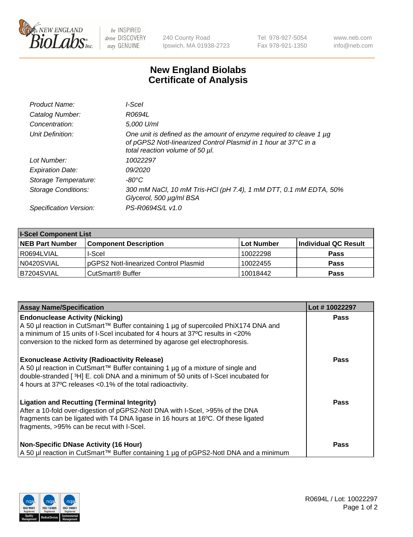

 $be$  INSPIRED drive DISCOVERY stay GENUINE

240 County Road Ipswich, MA 01938-2723 Tel 978-927-5054 Fax 978-921-1350 www.neb.com info@neb.com

## **New England Biolabs Certificate of Analysis**

| Product Name:              | l-Scel                                                                                                                                                                         |
|----------------------------|--------------------------------------------------------------------------------------------------------------------------------------------------------------------------------|
| Catalog Number:            | R0694L                                                                                                                                                                         |
| Concentration:             | 5,000 U/ml                                                                                                                                                                     |
| Unit Definition:           | One unit is defined as the amount of enzyme required to cleave 1 $\mu$ g<br>of pGPS2 Notl-linearized Control Plasmid in 1 hour at 37°C in a<br>total reaction volume of 50 µl. |
| Lot Number:                | 10022297                                                                                                                                                                       |
| <b>Expiration Date:</b>    | <i>09/2020</i>                                                                                                                                                                 |
| Storage Temperature:       | $-80^{\circ}$ C                                                                                                                                                                |
| <b>Storage Conditions:</b> | 300 mM NaCl, 10 mM Tris-HCl (pH 7.4), 1 mM DTT, 0.1 mM EDTA, 50%<br>Glycerol, 500 µg/ml BSA                                                                                    |
| Specification Version:     | PS-R0694S/L v1.0                                                                                                                                                               |

| <b>I-Scel Component List</b> |                                        |            |                      |  |
|------------------------------|----------------------------------------|------------|----------------------|--|
| <b>NEB Part Number</b>       | <b>Component Description</b>           | Lot Number | Individual QC Result |  |
| R0694LVIAL                   | I-Scel                                 | 10022298   | <b>Pass</b>          |  |
| N0420SVIAL                   | IpGPS2 Notl-linearized Control Plasmid | 10022455   | <b>Pass</b>          |  |
| B7204SVIAL                   | CutSmart <sup>®</sup> Buffer           | 10018442   | <b>Pass</b>          |  |

| <b>Assay Name/Specification</b>                                                                                                                                                                                                                                                                | Lot #10022297 |
|------------------------------------------------------------------------------------------------------------------------------------------------------------------------------------------------------------------------------------------------------------------------------------------------|---------------|
| <b>Endonuclease Activity (Nicking)</b><br>A 50 µl reaction in CutSmart™ Buffer containing 1 µg of supercoiled PhiX174 DNA and<br>a minimum of 15 units of I-Scel incubated for 4 hours at 37 °C results in <20%<br>conversion to the nicked form as determined by agarose gel electrophoresis. | <b>Pass</b>   |
| <b>Exonuclease Activity (Radioactivity Release)</b><br>A 50 µl reaction in CutSmart™ Buffer containing 1 µg of a mixture of single and<br>double-stranded [3H] E. coli DNA and a minimum of 50 units of I-Scel incubated for<br>4 hours at 37°C releases <0.1% of the total radioactivity.     | <b>Pass</b>   |
| <b>Ligation and Recutting (Terminal Integrity)</b><br>After a 10-fold over-digestion of pGPS2-Notl DNA with I-Scel, >95% of the DNA<br>fragments can be ligated with T4 DNA ligase in 16 hours at 16°C. Of these ligated<br>fragments, >95% can be recut with I-Scel.                          | <b>Pass</b>   |
| <b>Non-Specific DNase Activity (16 Hour)</b><br>A 50 µl reaction in CutSmart™ Buffer containing 1 µg of pGPS2-Notl DNA and a minimum                                                                                                                                                           | <b>Pass</b>   |